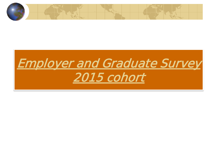

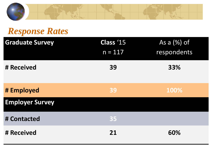

## *Response Rates*

| <b>Graduate Survey</b> | Class '15 | As a $(%)$ of |
|------------------------|-----------|---------------|
|                        | $n = 117$ | respondents   |
| # Received             | 39        | 33%           |
|                        |           |               |
| # Employed             | 39        | 100%          |
| <b>Employer Survey</b> |           |               |
| # Contacted            | 35        |               |
| # Received             | 21        | 60%           |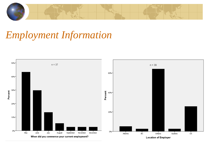

# *Employment Information*

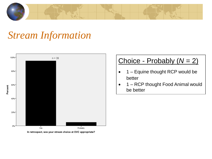

## *Stream Information*



#### Choice - Probably (*N* = 2)

- 1 Equine thought RCP would be better
- 1 RCP thought Food Animal would be better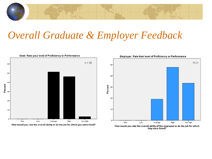

## *Overall Graduate & Employer Feedback*

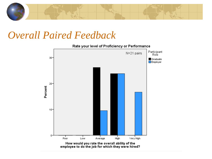

### *Overall Paired Feedback*

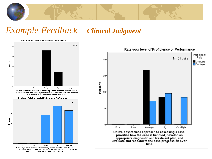

#### *Example Feedback – Clinical Judgment*





Utilize a systematic approach to assessing a case, prioritize how the case is<br>handled, develop an appropriate diagnostic and treatment plan, and evaluate and respond to the case progression over time.

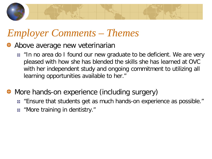

# *Employer Comments – Themes*

- Above average new veterinarian
	- In no area do I found our new graduate to be deficient. We are very pleased with how she has blended the skills she has learned at OVC with her independent study and ongoing commitment to utilizing all learning opportunities available to her."
- More hands-on experience (including surgery)
	- **E** "Ensure that students get as much hands-on experience as possible."
	- "More training in dentistry."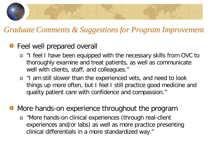

#### *Graduate Comments & Suggestions for Program Improvement*

#### **◆ Feel well prepared overall**

- "I feel I have been equipped with the necessary skills from OVC to thoroughly examine and treat patients, as well as communicate well with clients, staff, and colleagues."
- I "I am still slower than the experienced vets, and need to look things up more often, but I feel I still practice good medicine and quality patient care with confidence and compassion."

• More hands-on experience throughout the program

**E** "More hands-on clinical experiences (through real-client experiences and/or labs) as well as more practice presenting clinical differentials in a more standardized way."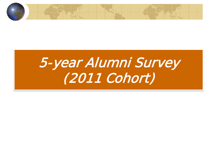

# 5-year Alumni Survey (2011 Cohort)